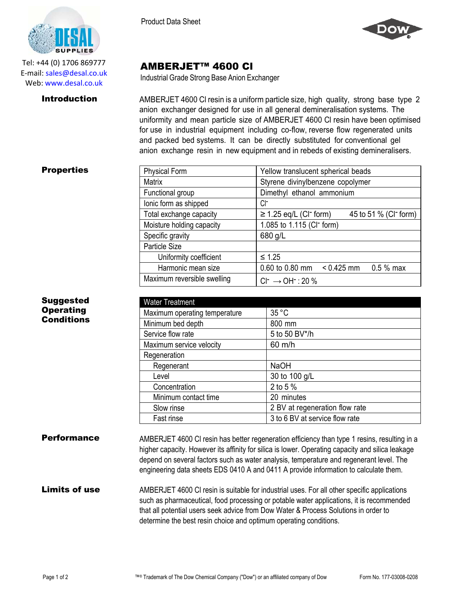

Tel: +44 (0) 1706 869777 E‐mail: sales@desal.co.uk Web: www.desal.co.uk

Product Data Sheet



# AMBERJET™ 4600 Cl

Industrial Grade Strong Base Anion Exchanger

**Introduction** AMBERJET 4600 CI resin is a uniform particle size, high quality, strong base type 2 anion exchanger designed for use in all general demineralisation systems. The uniformity and mean particle size of AMBERJET 4600 Cl resin have been optimised for use in industrial equipment including co-flow, reverse flow regenerated units and packed bed systems. It can be directly substituted for conventional gel anion exchange resin in new equipment and in rebeds of existing demineralisers.

### **Properties**

Suggested **Operating** Conditions

| <b>Physical Form</b>        | Yellow translucent spherical beads                                           |
|-----------------------------|------------------------------------------------------------------------------|
| Matrix                      | Styrene divinylbenzene copolymer                                             |
| Functional group            | Dimethyl ethanol ammonium                                                    |
| lonic form as shipped       | Cŀ                                                                           |
| Total exchange capacity     | 45 to 51 % (CI <sup>-</sup> form)<br>$\geq$ 1.25 eq/L (CI <sup>-</sup> form) |
| Moisture holding capacity   | 1.085 to 1.115 (CI <sup>-</sup> form)                                        |
| Specific gravity            | 680 g/L                                                                      |
| Particle Size               |                                                                              |
| Uniformity coefficient      | $≤ 1.25$                                                                     |
| Harmonic mean size          | 0.60 to 0.80 mm<br>$0.425$ mm 0.5 % max                                      |
| Maximum reversible swelling | $Cl^- \rightarrow OH^-$ : 20 %                                               |

| <b>Water Treatment</b>        |                                |
|-------------------------------|--------------------------------|
| Maximum operating temperature | 35 °C                          |
| Minimum bed depth             | 800 mm                         |
| Service flow rate             | 5 to 50 BV*/h                  |
| Maximum service velocity      | 60 m/h                         |
| Regeneration                  |                                |
| Regenerant                    | <b>NaOH</b>                    |
| Level                         | 30 to 100 g/L                  |
| Concentration                 | 2 to 5 $%$                     |
| Minimum contact time          | 20 minutes                     |
| Slow rinse                    | 2 BV at regeneration flow rate |
| Fast rinse                    | 3 to 6 BV at service flow rate |

**Performance** AMBERJET 4600 CI resin has better regeneration efficiency than type 1 resins, resulting in a higher capacity. However its affinity for silica is lower. Operating capacity and silica leakage depend on several factors such as water analysis, temperature and regenerant level. The engineering data sheets EDS 0410 A and 0411 A provide information to calculate them.

## Limits of use AMBERJET 4600 CI resin is suitable for industrial uses. For all other specific applications such as pharmaceutical, food processing or potable water applications, it is recommended that all potential users seek advice from Dow Water & Process Solutions in order to determine the best resin choice and optimum operating conditions.